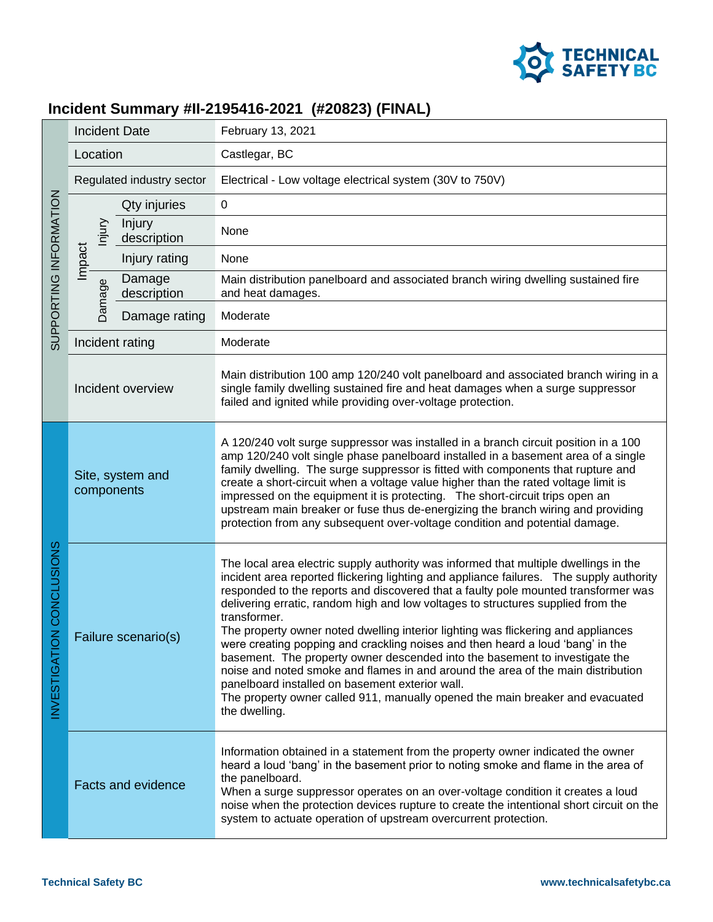

## **Incident Summary #II-2195416-2021 (#20823) (FINAL)**

| SUPPORTING INFORMATION                  | <b>Incident Date</b>           |                           | February 13, 2021                                                                                                                                                                                                                                                                                                                                                                                                                                                                                                                                                                                                                                                                                                                                                                                                                                                        |
|-----------------------------------------|--------------------------------|---------------------------|--------------------------------------------------------------------------------------------------------------------------------------------------------------------------------------------------------------------------------------------------------------------------------------------------------------------------------------------------------------------------------------------------------------------------------------------------------------------------------------------------------------------------------------------------------------------------------------------------------------------------------------------------------------------------------------------------------------------------------------------------------------------------------------------------------------------------------------------------------------------------|
|                                         | Location                       |                           | Castlegar, BC                                                                                                                                                                                                                                                                                                                                                                                                                                                                                                                                                                                                                                                                                                                                                                                                                                                            |
|                                         | Regulated industry sector      |                           | Electrical - Low voltage electrical system (30V to 750V)                                                                                                                                                                                                                                                                                                                                                                                                                                                                                                                                                                                                                                                                                                                                                                                                                 |
|                                         | njury<br>Impact<br>Damage      | Qty injuries              | $\mathbf 0$                                                                                                                                                                                                                                                                                                                                                                                                                                                                                                                                                                                                                                                                                                                                                                                                                                                              |
|                                         |                                | Injury<br>description     | None                                                                                                                                                                                                                                                                                                                                                                                                                                                                                                                                                                                                                                                                                                                                                                                                                                                                     |
|                                         |                                | Injury rating             | None                                                                                                                                                                                                                                                                                                                                                                                                                                                                                                                                                                                                                                                                                                                                                                                                                                                                     |
|                                         |                                | Damage<br>description     | Main distribution panelboard and associated branch wiring dwelling sustained fire<br>and heat damages.                                                                                                                                                                                                                                                                                                                                                                                                                                                                                                                                                                                                                                                                                                                                                                   |
|                                         |                                | Damage rating             | Moderate                                                                                                                                                                                                                                                                                                                                                                                                                                                                                                                                                                                                                                                                                                                                                                                                                                                                 |
|                                         |                                | Incident rating           | Moderate                                                                                                                                                                                                                                                                                                                                                                                                                                                                                                                                                                                                                                                                                                                                                                                                                                                                 |
|                                         | Incident overview              |                           | Main distribution 100 amp 120/240 volt panelboard and associated branch wiring in a<br>single family dwelling sustained fire and heat damages when a surge suppressor<br>failed and ignited while providing over-voltage protection.                                                                                                                                                                                                                                                                                                                                                                                                                                                                                                                                                                                                                                     |
| CONCLUSIONS<br>z<br><b>INVESTIGATIO</b> | Site, system and<br>components |                           | A 120/240 volt surge suppressor was installed in a branch circuit position in a 100<br>amp 120/240 volt single phase panelboard installed in a basement area of a single<br>family dwelling. The surge suppressor is fitted with components that rupture and<br>create a short-circuit when a voltage value higher than the rated voltage limit is<br>impressed on the equipment it is protecting. The short-circuit trips open an<br>upstream main breaker or fuse thus de-energizing the branch wiring and providing<br>protection from any subsequent over-voltage condition and potential damage.                                                                                                                                                                                                                                                                    |
|                                         | Failure scenario(s)            |                           | The local area electric supply authority was informed that multiple dwellings in the<br>incident area reported flickering lighting and appliance failures. The supply authority<br>responded to the reports and discovered that a faulty pole mounted transformer was<br>delivering erratic, random high and low voltages to structures supplied from the<br>transformer.<br>The property owner noted dwelling interior lighting was flickering and appliances<br>were creating popping and crackling noises and then heard a loud 'bang' in the<br>basement. The property owner descended into the basement to investigate the<br>noise and noted smoke and flames in and around the area of the main distribution<br>panelboard installed on basement exterior wall.<br>The property owner called 911, manually opened the main breaker and evacuated<br>the dwelling. |
|                                         |                                | <b>Facts and evidence</b> | Information obtained in a statement from the property owner indicated the owner<br>heard a loud 'bang' in the basement prior to noting smoke and flame in the area of<br>the panelboard.<br>When a surge suppressor operates on an over-voltage condition it creates a loud<br>noise when the protection devices rupture to create the intentional short circuit on the<br>system to actuate operation of upstream overcurrent protection.                                                                                                                                                                                                                                                                                                                                                                                                                               |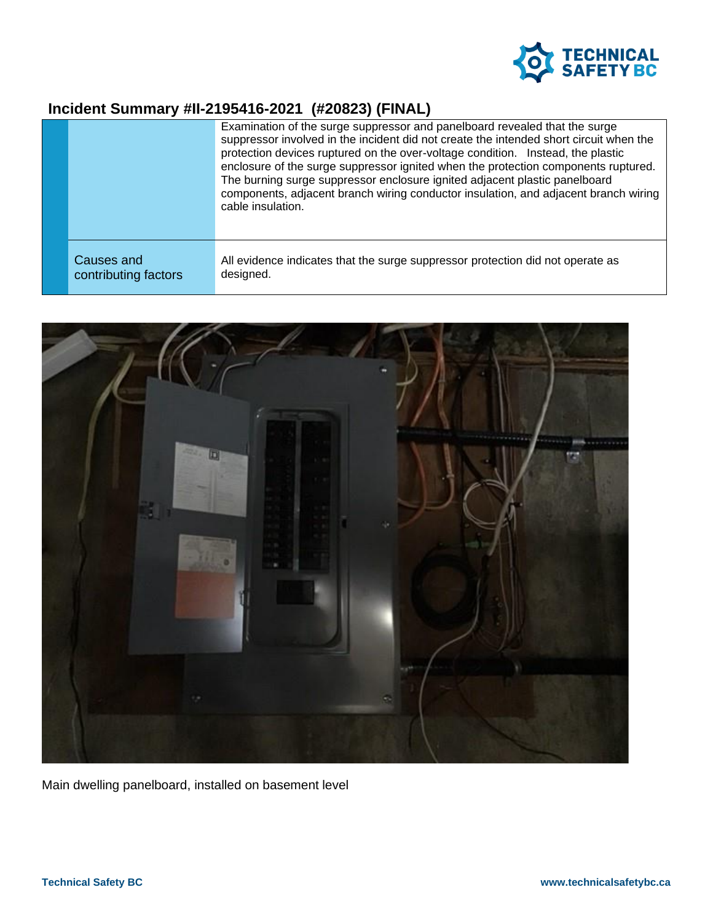

## **Incident Summary #II-2195416-2021 (#20823) (FINAL)**

|                                    | Examination of the surge suppressor and panelboard revealed that the surge<br>suppressor involved in the incident did not create the intended short circuit when the<br>protection devices ruptured on the over-voltage condition. Instead, the plastic<br>enclosure of the surge suppressor ignited when the protection components ruptured.<br>The burning surge suppressor enclosure ignited adjacent plastic panelboard<br>components, adjacent branch wiring conductor insulation, and adjacent branch wiring<br>cable insulation. |
|------------------------------------|-----------------------------------------------------------------------------------------------------------------------------------------------------------------------------------------------------------------------------------------------------------------------------------------------------------------------------------------------------------------------------------------------------------------------------------------------------------------------------------------------------------------------------------------|
| Causes and<br>contributing factors | All evidence indicates that the surge suppressor protection did not operate as<br>designed.                                                                                                                                                                                                                                                                                                                                                                                                                                             |



Main dwelling panelboard, installed on basement level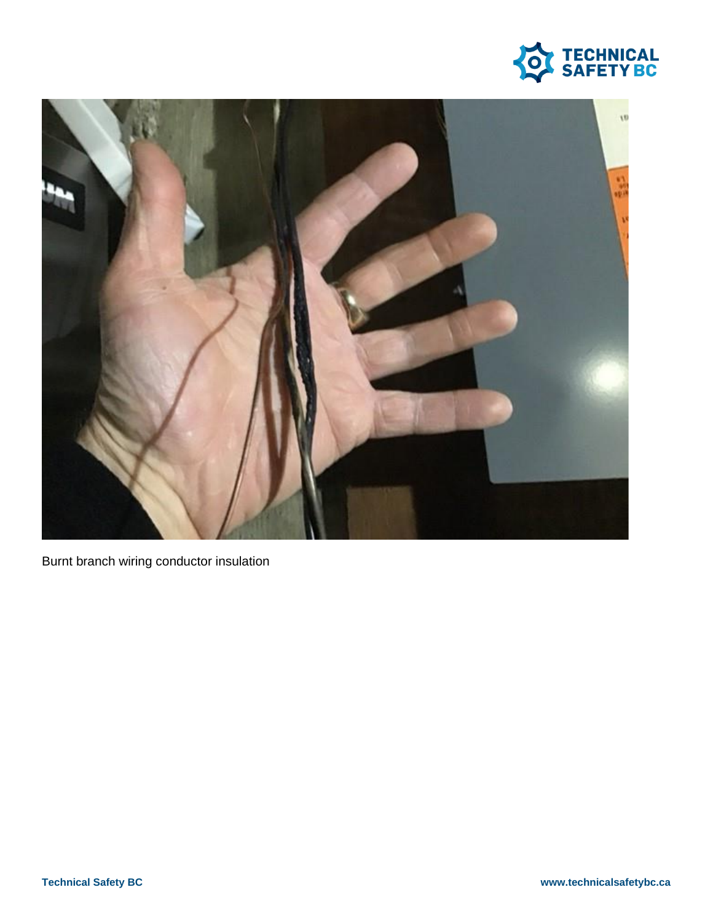



Burnt branch wiring conductor insulation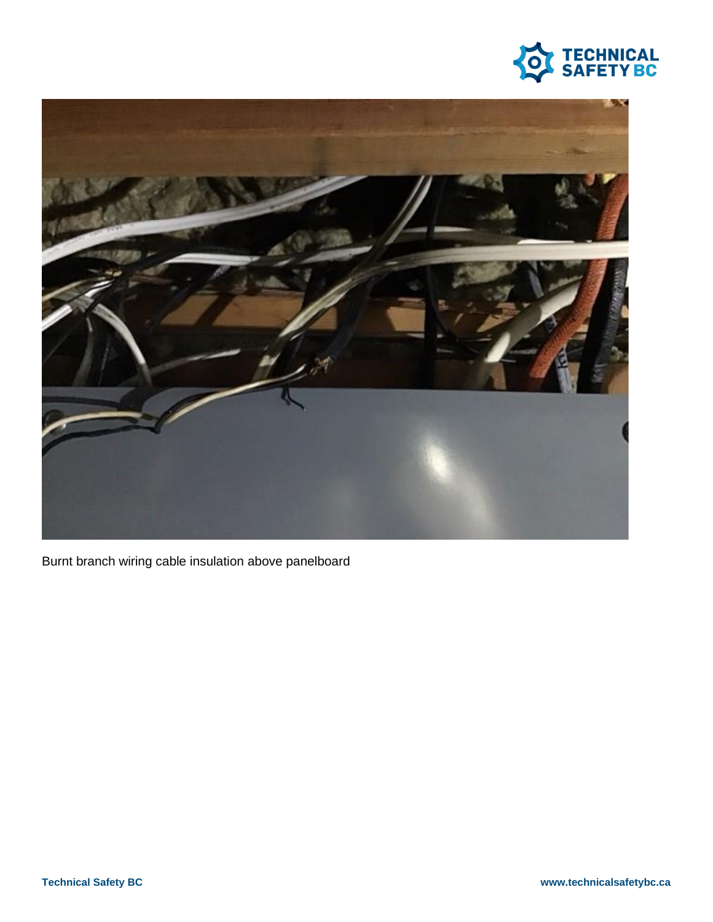



Burnt branch wiring cable insulation above panelboard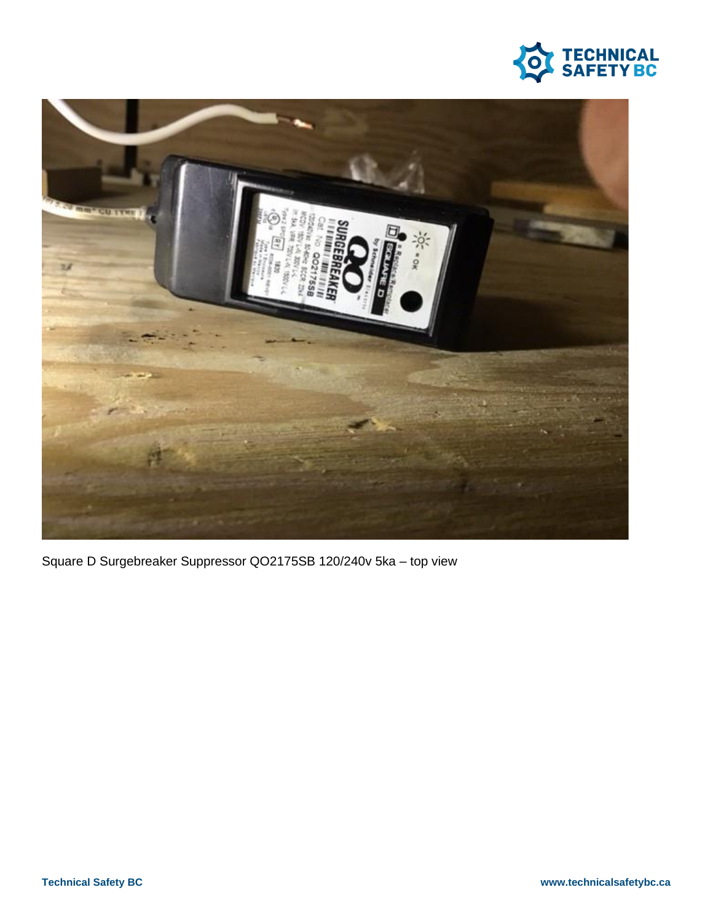



Square D Surgebreaker Suppressor QO2175SB 120/240v 5ka - top view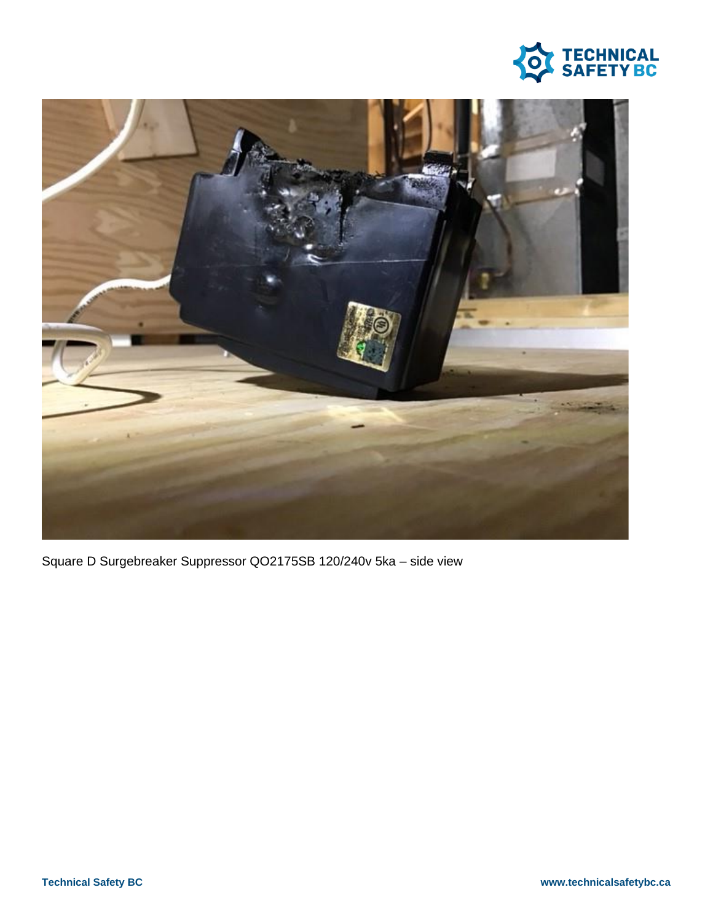



Square D Surgebreaker Suppressor QO2175SB 120/240v 5ka - side view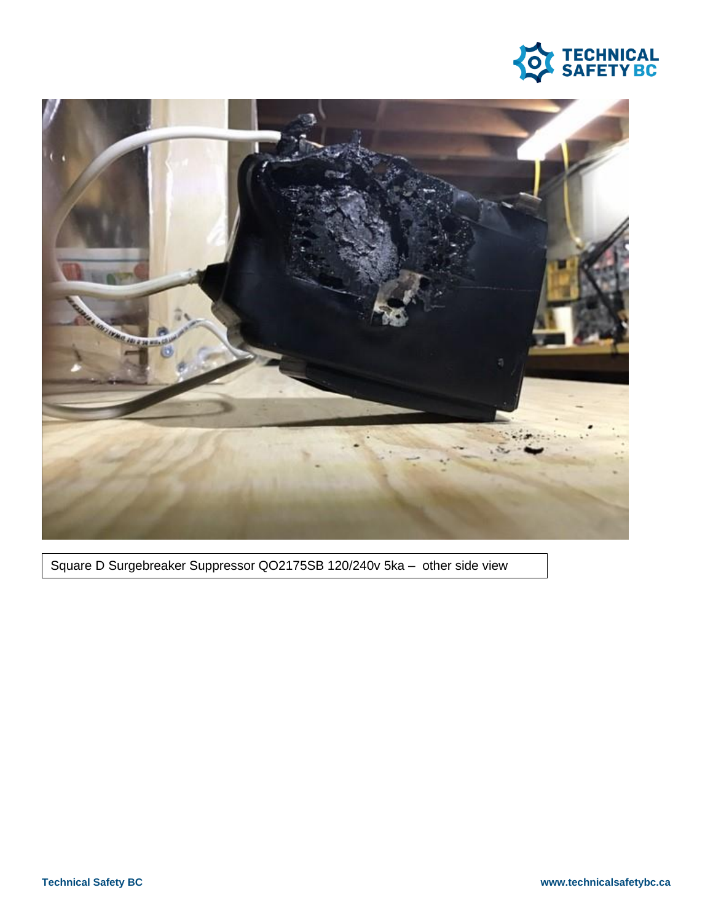



Square D Surgebreaker Suppressor QO2175SB 120/240v 5ka - other side view